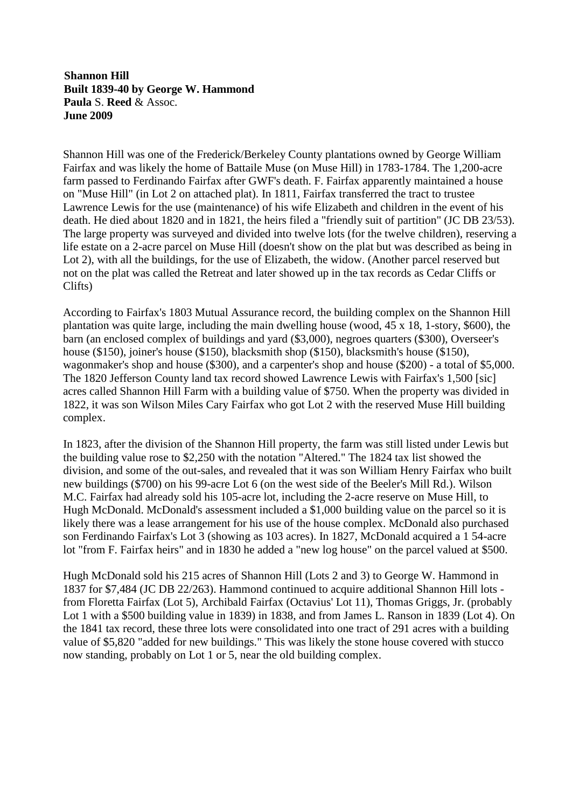**Shannon Hill Built 1839-40 by George W. Hammond Paula** S. **Reed** & Assoc. **June 2009**

Shannon Hill was one of the Frederick/Berkeley County plantations owned by George William Fairfax and was likely the home of Battaile Muse (on Muse Hill) in 1783-1784. The 1,200-acre farm passed to Ferdinando Fairfax after GWF's death. F. Fairfax apparently maintained a house on "Muse Hill" (in Lot 2 on attached plat). In 1811, Fairfax transferred the tract to trustee Lawrence Lewis for the use (maintenance) of his wife Elizabeth and children in the event of his death. He died about 1820 and in 1821, the heirs filed a "friendly suit of partition" (JC DB 23/53). The large property was surveyed and divided into twelve lots (for the twelve children), reserving a life estate on a 2-acre parcel on Muse Hill (doesn't show on the plat but was described as being in Lot 2), with all the buildings, for the use of Elizabeth, the widow. (Another parcel reserved but not on the plat was called the Retreat and later showed up in the tax records as Cedar Cliffs or Clifts)

According to Fairfax's 1803 Mutual Assurance record, the building complex on the Shannon Hill plantation was quite large, including the main dwelling house (wood, 45 x 18, 1-story, \$600), the barn (an enclosed complex of buildings and yard (\$3,000), negroes quarters (\$300), Overseer's house (\$150), joiner's house (\$150), blacksmith shop (\$150), blacksmith's house (\$150), wagonmaker's shop and house (\$300), and a carpenter's shop and house (\$200) - a total of \$5,000. The 1820 Jefferson County land tax record showed Lawrence Lewis with Fairfax's 1,500 [sic] acres called Shannon Hill Farm with a building value of \$750. When the property was divided in 1822, it was son Wilson Miles Cary Fairfax who got Lot 2 with the reserved Muse Hill building complex.

In 1823, after the division of the Shannon Hill property, the farm was still listed under Lewis but the building value rose to \$2,250 with the notation "Altered." The 1824 tax list showed the division, and some of the out-sales, and revealed that it was son William Henry Fairfax who built new buildings (\$700) on his 99-acre Lot 6 (on the west side of the Beeler's Mill Rd.). Wilson M.C. Fairfax had already sold his 105-acre lot, including the 2-acre reserve on Muse Hill, to Hugh McDonald. McDonald's assessment included a \$1,000 building value on the parcel so it is likely there was a lease arrangement for his use of the house complex. McDonald also purchased son Ferdinando Fairfax's Lot 3 (showing as 103 acres). In 1827, McDonald acquired a 1 54-acre lot "from F. Fairfax heirs" and in 1830 he added a "new log house" on the parcel valued at \$500.

Hugh McDonald sold his 215 acres of Shannon Hill (Lots 2 and 3) to George W. Hammond in 1837 for \$7,484 (JC DB 22/263). Hammond continued to acquire additional Shannon Hill lots from Floretta Fairfax (Lot 5), Archibald Fairfax (Octavius' Lot 11), Thomas Griggs, Jr. (probably Lot 1 with a \$500 building value in 1839) in 1838, and from James L. Ranson in 1839 (Lot 4). On the 1841 tax record, these three lots were consolidated into one tract of 291 acres with a building value of \$5,820 "added for new buildings." This was likely the stone house covered with stucco now standing, probably on Lot 1 or 5, near the old building complex.